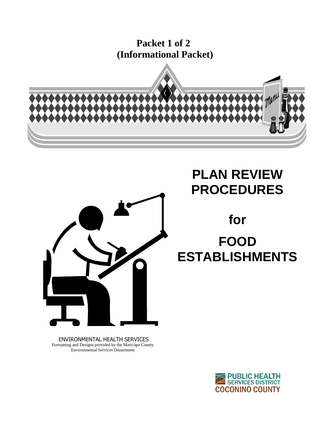**Packet 1 of 2 (Informational Packet)**





# **PLAN REVIEW PROCEDURES**

**for** 

# **FOOD ESTABLISHMENTS**

ENVIRONMENTAL HEALTH SERVICES Formatting and Designs provided by the Maricopa County Environmental Services Department

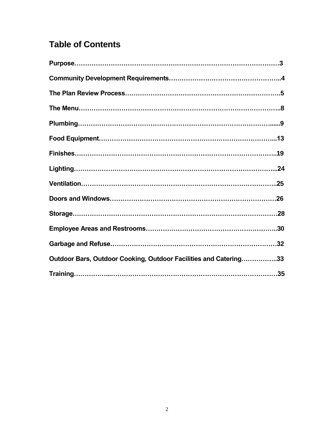# **Table of Contents**

| Outdoor Bars, Outdoor Cooking, Outdoor Facilities and Catering33 |  |
|------------------------------------------------------------------|--|
|                                                                  |  |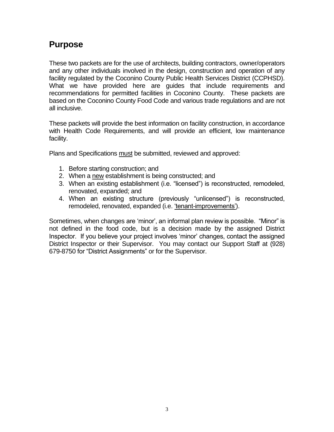# **Purpose**

These two packets are for the use of architects, building contractors, owner/operators and any other individuals involved in the design, construction and operation of any facility regulated by the Coconino County Public Health Services District (CCPHSD). What we have provided here are guides that include requirements and recommendations for permitted facilities in Coconino County. These packets are based on the Coconino County Food Code and various trade regulations and are not all inclusive.

These packets will provide the best information on facility construction, in accordance with Health Code Requirements, and will provide an efficient, low maintenance facility.

Plans and Specifications must be submitted, reviewed and approved:

- 1. Before starting construction; and
- 2. When a new establishment is being constructed; and
- 3. When an existing establishment (i.e. "licensed") is reconstructed, remodeled, renovated, expanded; and
- 4. When an existing structure (previously "unlicensed") is reconstructed, remodeled, renovated, expanded (i.e. 'tenant-improvements').

Sometimes, when changes are 'minor', an informal plan review is possible. "Minor" is not defined in the food code, but is a decision made by the assigned District Inspector. If you believe your project involves 'minor' changes, contact the assigned District Inspector or their Supervisor. You may contact our Support Staff at (928) 679-8750 for "District Assignments" or for the Supervisor.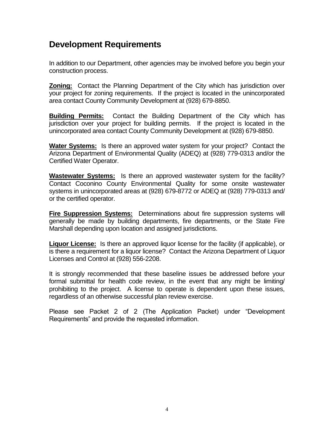# **Development Requirements**

In addition to our Department, other agencies may be involved before you begin your construction process.

**Zoning:** Contact the Planning Department of the City which has jurisdiction over your project for zoning requirements. If the project is located in the unincorporated area contact County Community Development at (928) 679-8850.

**Building Permits:** Contact the Building Department of the City which has jurisdiction over your project for building permits. If the project is located in the unincorporated area contact County Community Development at (928) 679-8850.

**Water Systems:** Is there an approved water system for your project? Contact the Arizona Department of Environmental Quality (ADEQ) at (928) 779-0313 and/or the Certified Water Operator.

**Wastewater Systems:** Is there an approved wastewater system for the facility? Contact Coconino County Environmental Quality for some onsite wastewater systems in unincorporated areas at (928) 679-8772 or ADEQ at (928) 779-0313 and/ or the certified operator.

**Fire Suppression Systems:** Determinations about fire suppression systems will generally be made by building departments, fire departments, or the State Fire Marshall depending upon location and assigned jurisdictions.

**Liquor License:** Is there an approved liquor license for the facility (if applicable), or is there a requirement for a liquor license? Contact the Arizona Department of Liquor Licenses and Control at (928) 556-2208.

It is strongly recommended that these baseline issues be addressed before your formal submittal for health code review, in the event that any might be limiting/ prohibiting to the project. A license to operate is dependent upon these issues, regardless of an otherwise successful plan review exercise.

Please see Packet 2 of 2 (The Application Packet) under "Development Requirements" and provide the requested information.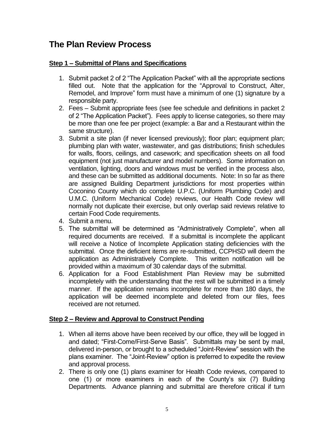# **The Plan Review Process**

## **Step 1 – Submittal of Plans and Specifications**

- 1. Submit packet 2 of 2 "The Application Packet" with all the appropriate sections filled out. Note that the application for the "Approval to Construct, Alter, Remodel, and Improve" form must have a minimum of one (1) signature by a responsible party.
- 2. Fees Submit appropriate fees (see fee schedule and definitions in packet 2 of 2 "The Application Packet"). Fees apply to license categories, so there may be more than one fee per project (example: a Bar and a Restaurant within the same structure).
- 3. Submit a site plan (if never licensed previously); floor plan; equipment plan; plumbing plan with water, wastewater, and gas distributions; finish schedules for walls, floors, ceilings, and casework; and specification sheets on all food equipment (not just manufacturer and model numbers). Some information on ventilation, lighting, doors and windows must be verified in the process also, and these can be submitted as additional documents. Note: In so far as there are assigned Building Department jurisdictions for most properties within Coconino County which do complete U.P.C. (Uniform Plumbing Code) and U.M.C. (Uniform Mechanical Code) reviews, our Health Code review will normally not duplicate their exercise, but only overlap said reviews relative to certain Food Code requirements.
- 4. Submit a menu.
- 5. The submittal will be determined as "Administratively Complete", when all required documents are received. If a submittal is incomplete the applicant will receive a Notice of Incomplete Application stating deficiencies with the submittal. Once the deficient items are re-submitted, CCPHSD will deem the application as Administratively Complete. This written notification will be provided within a maximum of 30 calendar days of the submittal.
- 6. Application for a Food Establishment Plan Review may be submitted incompletely with the understanding that the rest will be submitted in a timely manner. If the application remains incomplete for more than 180 days, the application will be deemed incomplete and deleted from our files, fees received are not returned.

# **Step 2 – Review and Approval to Construct Pending**

- 1. When all items above have been received by our office, they will be logged in and dated; "First-Come/First-Serve Basis". Submittals may be sent by mail, delivered in-person, or brought to a scheduled "Joint-Review" session with the plans examiner. The "Joint-Review" option is preferred to expedite the review and approval process.
- 2. There is only one (1) plans examiner for Health Code reviews, compared to one (1) or more examiners in each of the County's six (7) Building Departments. Advance planning and submittal are therefore critical if turn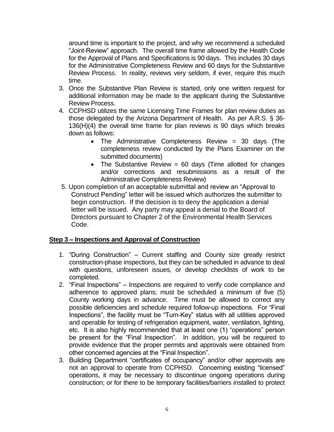around time is important to the project, and why we recommend a scheduled "Joint-Review" approach. The overall time frame allowed by the Health Code for the Approval of Plans and Specifications is 90 days. This includes 30 days for the Administrative Completeness Review and 60 days for the Substantive Review Process. In reality, reviews very seldom, if ever, require this much time.

- 3. Once the Substantive Plan Review is started, only one written request for additional information may be made to the applicant during the Substantive Review Process.
- 4. CCPHSD utilizes the same Licensing Time Frames for plan review duties as those delegated by the Arizona Department of Health. As per A.R.S. § 36- 136(H)(4) the overall time frame for plan reviews is 90 days which breaks down as follows:
	- The Administrative Completeness Review = 30 days (The completeness review conducted by the Plans Examiner on the submitted documents)
	- The Substantive Review =  $60$  days (Time allotted for changes and/or corrections and resubmissions as a result of the Administrative Completeness Review)
- 5. Upon completion of an acceptable submittal and review an "Approval to Construct Pending" letter will be issued which authorizes the submitter to begin construction. If the decision is to deny the application a denial letter will be issued. Any party may appeal a denial to the Board of Directors pursuant to Chapter 2 of the Environmental Health Services Code.

# **Step 3 – Inspections and Approval of Construction**

- 1. "During Construction" Current staffing and County size greatly restrict construction-phase inspections, but they can be scheduled in advance to deal with questions, unforeseen issues, or develop checklists of work to be completed.
- 2. "Final Inspections" Inspections are required to verify code compliance and adherence to approved plans; must be scheduled a minimum of five (5) County working days in advance. Time must be allowed to correct any possible deficiencies and schedule required follow-up inspections. For "Final Inspections", the facility must be "Turn-Key" status with all utilities approved and operable for testing of refrigeration equipment, water, ventilation, lighting, etc. It is also highly recommended that at least one (1) "operations" person be present for the "Final Inspection". In addition, you will be required to provide evidence that the proper permits and approvals were obtained from other concerned agencies at the "Final Inspection".
- 3. Building Department "certificates of occupancy" and/or other approvals are not an approval to operate from CCPHSD. Concerning existing "licensed" operations, it may be necessary to discontinue ongoing operations during construction; or for there to be temporary facilities/barriers installed to protect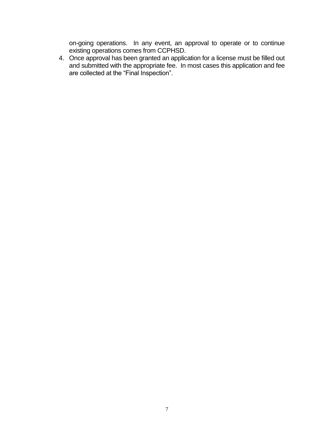on-going operations. In any event, an approval to operate or to continue existing operations comes from CCPHSD.

4. Once approval has been granted an application for a license must be filled out and submitted with the appropriate fee. In most cases this application and fee are collected at the "Final Inspection".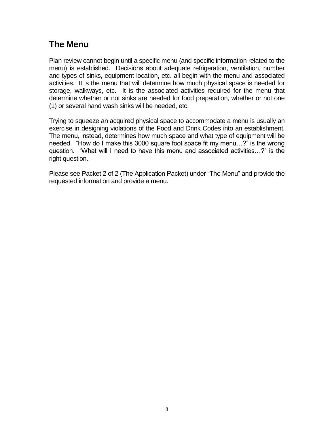# **The Menu**

Plan review cannot begin until a specific menu (and specific information related to the menu) is established. Decisions about adequate refrigeration, ventilation, number and types of sinks, equipment location, etc. all begin with the menu and associated activities. It is the menu that will determine how much physical space is needed for storage, walkways, etc. It is the associated activities required for the menu that determine whether or not sinks are needed for food preparation, whether or not one (1) or several hand wash sinks will be needed, etc.

Trying to squeeze an acquired physical space to accommodate a menu is usually an exercise in designing violations of the Food and Drink Codes into an establishment. The menu, instead, determines how much space and what type of equipment will be needed. "How do I make this 3000 square foot space fit my menu…?" is the wrong question. "What will I need to have this menu and associated activities…?" is the right question.

Please see Packet 2 of 2 (The Application Packet) under "The Menu" and provide the requested information and provide a menu.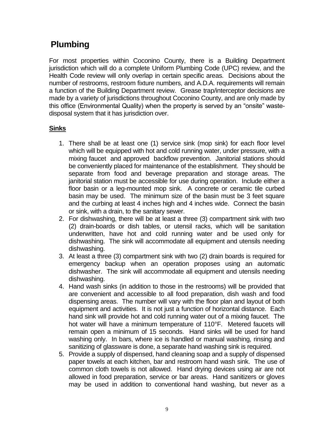# **Plumbing**

For most properties within Coconino County, there is a Building Department jurisdiction which will do a complete Uniform Plumbing Code (UPC) review, and the Health Code review will only overlap in certain specific areas. Decisions about the number of restrooms, restroom fixture numbers, and A.D.A. requirements will remain a function of the Building Department review. Grease trap/interceptor decisions are made by a variety of jurisdictions throughout Coconino County, and are only made by this office (Environmental Quality) when the property is served by an "onsite" wastedisposal system that it has jurisdiction over.

# **Sinks**

- 1. There shall be at least one (1) service sink (mop sink) for each floor level which will be equipped with hot and cold running water, under pressure, with a mixing faucet and approved backflow prevention. Janitorial stations should be conveniently placed for maintenance of the establishment. They should be separate from food and beverage preparation and storage areas. The janitorial station must be accessible for use during operation. Include either a floor basin or a leg-mounted mop sink. A concrete or ceramic tile curbed basin may be used. The minimum size of the basin must be 3 feet square and the curbing at least 4 inches high and 4 inches wide. Connect the basin or sink, with a drain, to the sanitary sewer.
- 2. For dishwashing, there will be at least a three (3) compartment sink with two (2) drain-boards or dish tables, or utensil racks, which will be sanitation underwritten, have hot and cold running water and be used only for dishwashing. The sink will accommodate all equipment and utensils needing dishwashing.
- 3. At least a three (3) compartment sink with two (2) drain boards is required for emergency backup when an operation proposes using an automatic dishwasher. The sink will accommodate all equipment and utensils needing dishwashing.
- 4. Hand wash sinks (in addition to those in the restrooms) will be provided that are convenient and accessible to all food preparation, dish wash and food dispensing areas. The number will vary with the floor plan and layout of both equipment and activities. It is not just a function of horizontal distance. Each hand sink will provide hot and cold running water out of a mixing faucet. The hot water will have a minimum temperature of 110°F. Metered faucets will remain open a minimum of 15 seconds. Hand sinks will be used for hand washing only. In bars, where ice is handled or manual washing, rinsing and sanitizing of glassware is done, a separate hand washing sink is required.
- 5. Provide a supply of dispensed, hand cleaning soap and a supply of dispensed paper towels at each kitchen, bar and restroom hand wash sink. The use of common cloth towels is not allowed. Hand drying devices using air are not allowed in food preparation, service or bar areas. Hand sanitizers or gloves may be used in addition to conventional hand washing, but never as a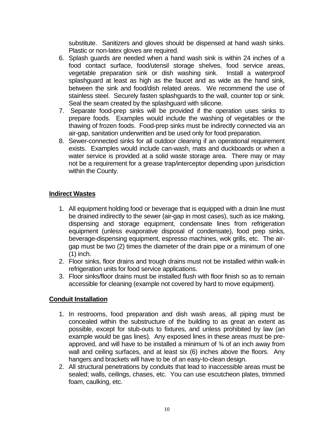substitute. Sanitizers and gloves should be dispensed at hand wash sinks. Plastic or non-latex gloves are required.

- 6. Splash guards are needed when a hand wash sink is within 24 inches of a food contact surface, food/utensil storage shelves, food service areas, vegetable preparation sink or dish washing sink. Install a waterproof splashguard at least as high as the faucet and as wide as the hand sink, between the sink and food/dish related areas. We recommend the use of stainless steel. Securely fasten splashguards to the wall, counter top or sink. Seal the seam created by the splashguard with silicone.
- 7. Separate food-prep sinks will be provided if the operation uses sinks to prepare foods. Examples would include the washing of vegetables or the thawing of frozen foods. Food-prep sinks must be indirectly connected via an air-gap, sanitation underwritten and be used only for food preparation.
- 8. Sewer-connected sinks for all outdoor cleaning if an operational requirement exists. Examples would include can-wash, mats and duckboards or when a water service is provided at a solid waste storage area. There may or may not be a requirement for a grease trap/interceptor depending upon jurisdiction within the County.

## **Indirect Wastes**

- 1. All equipment holding food or beverage that is equipped with a drain line must be drained indirectly to the sewer (air-gap in most cases), such as ice making, dispensing and storage equipment, condensate lines from refrigeration equipment (unless evaporative disposal of condensate), food prep sinks, beverage-dispensing equipment, espresso machines, wok grills, etc. The airgap must be two (2) times the diameter of the drain pipe or a minimum of one (1) inch.
- 2. Floor sinks, floor drains and trough drains must not be installed within walk-in refrigeration units for food service applications.
- 3. Floor sinks/floor drains must be installed flush with floor finish so as to remain accessible for cleaning (example not covered by hard to move equipment).

## **Conduit Installation**

- 1. In restrooms, food preparation and dish wash areas, all piping must be concealed within the substructure of the building to as great an extent as possible, except for stub-outs to fixtures, and unless prohibited by law (an example would be gas lines). Any exposed lines in these areas must be preapproved, and will have to be installed a minimum of ¾ of an inch away from wall and ceiling surfaces, and at least six (6) inches above the floors. Any hangers and brackets will have to be of an easy-to-clean design.
- 2. All structural penetrations by conduits that lead to inaccessible areas must be sealed; walls, ceilings, chases, etc. You can use escutcheon plates, trimmed foam, caulking, etc.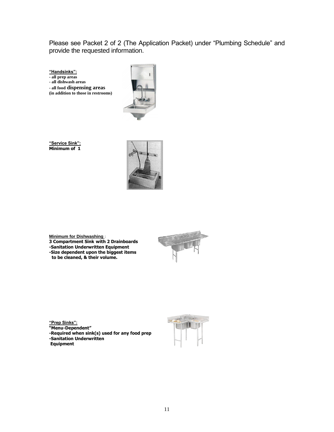Please see Packet 2 of 2 (The Application Packet) under "Plumbing Schedule" and provide the requested information.

**"Handsinks":**

**- all prep areas**

**- all dishwash areas** 

**- all food dispensing areas**

**(in addition to those in restrooms)**



**"Service Sink": Minimum of 1**







**"Prep Sinks": "Menu-Dependent" -Required when sink(s) used for any food prep -Sanitation Underwritten**

**Equipment**



11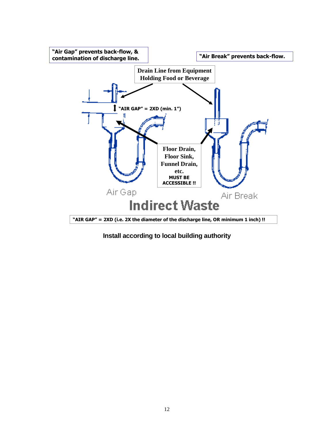

**Install according to local building authority**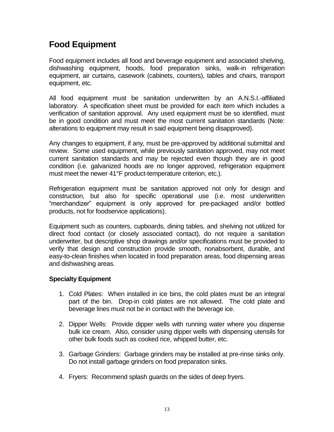# **Food Equipment**

Food equipment includes all food and beverage equipment and associated shelving, dishwashing equipment, hoods, food preparation sinks, walk-in refrigeration equipment, air curtains, casework (cabinets, counters), tables and chairs, transport equipment, etc.

All food equipment must be sanitation underwritten by an A.N.S.I.-affiliated laboratory. A specification sheet must be provided for each item which includes a verification of sanitation approval. Any used equipment must be so identified, must be in good condition and must meet the most current sanitation standards (Note: alterations to equipment may result in said equipment being disapproved).

Any changes to equipment, if any, must be pre-approved by additional submittal and review. Some used equipment, while previously sanitation approved, may not meet current sanitation standards and may be rejected even though they are in good condition (i.e. galvanized hoods are no longer approved, refrigeration equipment must meet the newer 41°F product-temperature criterion, etc.).

Refrigeration equipment must be sanitation approved not only for design and construction, but also for specific operational use (i.e. most underwritten "merchandizer" equipment is only approved for pre-packaged and/or bottled products, not for foodservice applications).

Equipment such as counters, cupboards, dining tables, and shelving not utilized for direct food contact (or closely associated contact), do not require a sanitation underwriter, but descriptive shop drawings and/or specifications must be provided to verify that design and construction provide smooth, nonabsorbent, durable, and easy-to-clean finishes when located in food preparation areas, food dispensing areas and dishwashing areas.

# **Specialty Equipment**

- 1. Cold Plates: When installed in ice bins, the cold plates must be an integral part of the bin. Drop-in cold plates are not allowed. The cold plate and beverage lines must not be in contact with the beverage ice.
- 2. Dipper Wells: Provide dipper wells with running water where you dispense bulk ice cream. Also, consider using dipper wells with dispensing utensils for other bulk foods such as cooked rice, whipped butter, etc.
- 3. Garbage Grinders: Garbage grinders may be installed at pre-rinse sinks only. Do not install garbage grinders on food preparation sinks.
- 4. Fryers: Recommend splash guards on the sides of deep fryers.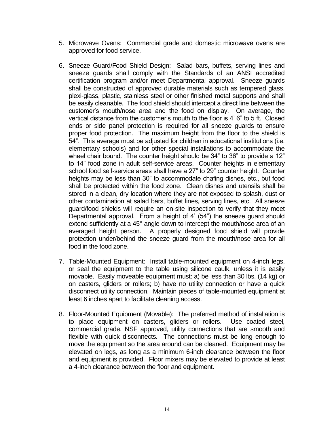- 5. Microwave Ovens: Commercial grade and domestic microwave ovens are approved for food service.
- 6. Sneeze Guard/Food Shield Design: Salad bars, buffets, serving lines and sneeze guards shall comply with the Standards of an ANSI accredited certification program and/or meet Departmental approval. Sneeze guards shall be constructed of approved durable materials such as tempered glass, plexi-glass, plastic, stainless steel or other finished metal supports and shall be easily cleanable. The food shield should intercept a direct line between the customer's mouth/nose area and the food on display. On average, the vertical distance from the customer's mouth to the floor is 4' 6" to 5 ft. Closed ends or side panel protection is required for all sneeze guards to ensure proper food protection. The maximum height from the floor to the shield is 54". This average must be adjusted for children in educational institutions (i.e. elementary schools) and for other special installations to accommodate the wheel chair bound. The counter height should be 34" to 36" to provide a 12" to 14" food zone in adult self-service areas. Counter heights in elementary school food self-service areas shall have a 27" to 29" counter height. Counter heights may be less than 30" to accommodate chafing dishes, etc., but food shall be protected within the food zone. Clean dishes and utensils shall be stored in a clean, dry location where they are not exposed to splash, dust or other contamination at salad bars, buffet lines, serving lines, etc. All sneeze guard/food shields will require an on-site inspection to verify that they meet Departmental approval. From a height of  $4'$  (54") the sneeze guard should extend sufficiently at a 45° angle down to intercept the mouth/nose area of an averaged height person. A properly designed food shield will provide protection under/behind the sneeze guard from the mouth/nose area for all food in the food zone.
- 7. Table-Mounted Equipment: Install table-mounted equipment on 4-inch legs, or seal the equipment to the table using silicone caulk, unless it is easily movable. Easily moveable equipment must: a) be less than 30 lbs. (14 kg) or on casters, gliders or rollers; b) have no utility connection or have a quick disconnect utility connection. Maintain pieces of table-mounted equipment at least 6 inches apart to facilitate cleaning access.
- 8. Floor-Mounted Equipment (Movable): The preferred method of installation is to place equipment on casters, gliders or rollers. Use coated steel, commercial grade, NSF approved, utility connections that are smooth and flexible with quick disconnects. The connections must be long enough to move the equipment so the area around can be cleaned. Equipment may be elevated on legs, as long as a minimum 6-inch clearance between the floor and equipment is provided. Floor mixers may be elevated to provide at least a 4-inch clearance between the floor and equipment.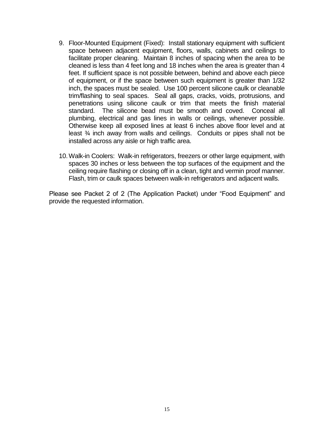- 9. Floor-Mounted Equipment (Fixed): Install stationary equipment with sufficient space between adjacent equipment, floors, walls, cabinets and ceilings to facilitate proper cleaning. Maintain 8 inches of spacing when the area to be cleaned is less than 4 feet long and 18 inches when the area is greater than 4 feet. If sufficient space is not possible between, behind and above each piece of equipment, or if the space between such equipment is greater than 1/32 inch, the spaces must be sealed. Use 100 percent silicone caulk or cleanable trim/flashing to seal spaces. Seal all gaps, cracks, voids, protrusions, and penetrations using silicone caulk or trim that meets the finish material standard. The silicone bead must be smooth and coved. Conceal all plumbing, electrical and gas lines in walls or ceilings, whenever possible. Otherwise keep all exposed lines at least 6 inches above floor level and at least ¾ inch away from walls and ceilings. Conduits or pipes shall not be installed across any aisle or high traffic area.
- 10.Walk-in Coolers: Walk-in refrigerators, freezers or other large equipment, with spaces 30 inches or less between the top surfaces of the equipment and the ceiling require flashing or closing off in a clean, tight and vermin proof manner. Flash, trim or caulk spaces between walk-in refrigerators and adjacent walls.

Please see Packet 2 of 2 (The Application Packet) under "Food Equipment" and provide the requested information.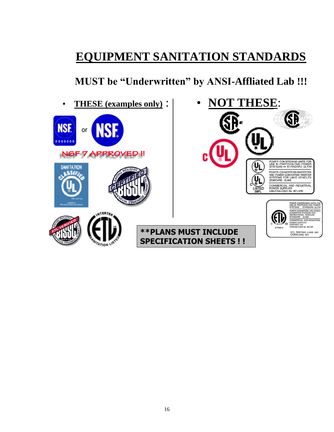# **EQUIPMENT SANITATION STANDARDS**

**MUST be "Underwritten" by ANSI-Affliated Lab !!!**

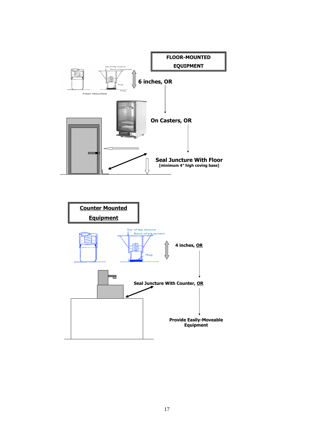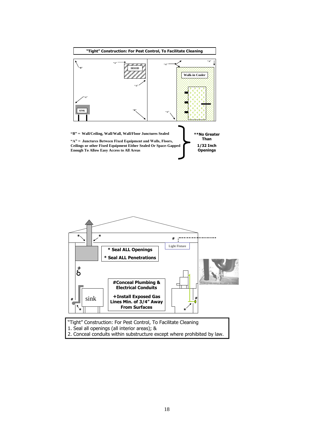



2. Conceal conduits within substructure except where prohibited by law.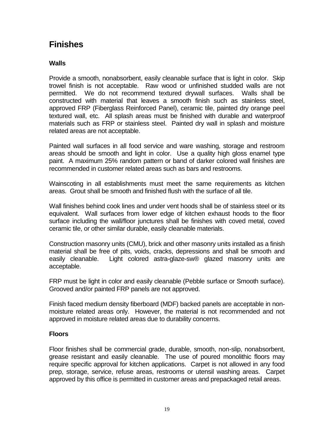# **Finishes**

# **Walls**

Provide a smooth, nonabsorbent, easily cleanable surface that is light in color. Skip trowel finish is not acceptable. Raw wood or unfinished studded walls are not permitted. We do not recommend textured drywall surfaces. Walls shall be constructed with material that leaves a smooth finish such as stainless steel, approved FRP (Fiberglass Reinforced Panel), ceramic tile, painted dry orange peel textured wall, etc. All splash areas must be finished with durable and waterproof materials such as FRP or stainless steel. Painted dry wall in splash and moisture related areas are not acceptable.

Painted wall surfaces in all food service and ware washing, storage and restroom areas should be smooth and light in color. Use a quality high gloss enamel type paint. A maximum 25% random pattern or band of darker colored wall finishes are recommended in customer related areas such as bars and restrooms.

Wainscoting in all establishments must meet the same requirements as kitchen areas. Grout shall be smooth and finished flush with the surface of all tile.

Wall finishes behind cook lines and under vent hoods shall be of stainless steel or its equivalent. Wall surfaces from lower edge of kitchen exhaust hoods to the floor surface including the wall/floor junctures shall be finishes with coved metal, coved ceramic tile, or other similar durable, easily cleanable materials.

Construction masonry units (CMU), brick and other masonry units installed as a finish material shall be free of pits, voids, cracks, depressions and shall be smooth and easily cleanable. Light colored astra-glaze-sw® glazed masonry units are acceptable.

FRP must be light in color and easily cleanable (Pebble surface or Smooth surface). Grooved and/or painted FRP panels are not approved.

Finish faced medium density fiberboard (MDF) backed panels are acceptable in nonmoisture related areas only. However, the material is not recommended and not approved in moisture related areas due to durability concerns.

# **Floors**

Floor finishes shall be commercial grade, durable, smooth, non-slip, nonabsorbent, grease resistant and easily cleanable. The use of poured monolithic floors may require specific approval for kitchen applications. Carpet is not allowed in any food prep, storage, service, refuse areas, restrooms or utensil washing areas. Carpet approved by this office is permitted in customer areas and prepackaged retail areas.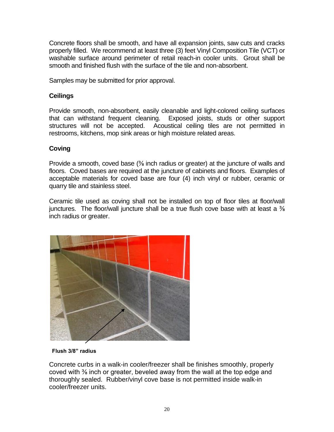Concrete floors shall be smooth, and have all expansion joints, saw cuts and cracks properly filled. We recommend at least three (3) feet Vinyl Composition Tile (VCT) or washable surface around perimeter of retail reach-in cooler units. Grout shall be smooth and finished flush with the surface of the tile and non-absorbent.

Samples may be submitted for prior approval.

# **Ceilings**

Provide smooth, non-absorbent, easily cleanable and light-colored ceiling surfaces that can withstand frequent cleaning. Exposed joists, studs or other support structures will not be accepted. Acoustical ceiling tiles are not permitted in restrooms, kitchens, mop sink areas or high moisture related areas.

# **Coving**

Provide a smooth, coved base (⅜ inch radius or greater) at the juncture of walls and floors. Coved bases are required at the juncture of cabinets and floors. Examples of acceptable materials for coved base are four (4) inch vinyl or rubber, ceramic or quarry tile and stainless steel.

Ceramic tile used as coving shall not be installed on top of floor tiles at floor/wall junctures. The floor/wall juncture shall be a true flush cove base with at least a  $\frac{3}{8}$ inch radius or greater.



 **Flush 3/8" radius**

Concrete curbs in a walk-in cooler/freezer shall be finishes smoothly, properly coved with ⅜ inch or greater, beveled away from the wall at the top edge and thoroughly sealed. Rubber/vinyl cove base is not permitted inside walk-in cooler/freezer units.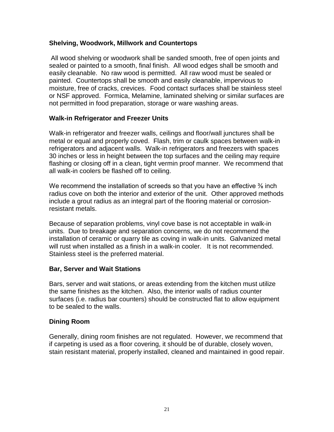## **Shelving, Woodwork, Millwork and Countertops**

All wood shelving or woodwork shall be sanded smooth, free of open joints and sealed or painted to a smooth, final finish. All wood edges shall be smooth and easily cleanable. No raw wood is permitted. All raw wood must be sealed or painted. Countertops shall be smooth and easily cleanable, impervious to moisture, free of cracks, crevices. Food contact surfaces shall be stainless steel or NSF approved. Formica, Melamine, laminated shelving or similar surfaces are not permitted in food preparation, storage or ware washing areas.

## **Walk-in Refrigerator and Freezer Units**

Walk-in refrigerator and freezer walls, ceilings and floor/wall junctures shall be metal or equal and properly coved. Flash, trim or caulk spaces between walk-in refrigerators and adjacent walls. Walk-in refrigerators and freezers with spaces 30 inches or less in height between the top surfaces and the ceiling may require flashing or closing off in a clean, tight vermin proof manner. We recommend that all walk-in coolers be flashed off to ceiling.

We recommend the installation of screeds so that you have an effective  $\frac{3}{8}$  inch radius cove on both the interior and exterior of the unit. Other approved methods include a grout radius as an integral part of the flooring material or corrosionresistant metals.

Because of separation problems, vinyl cove base is not acceptable in walk-in units. Due to breakage and separation concerns, we do not recommend the installation of ceramic or quarry tile as coving in walk-in units. Galvanized metal will rust when installed as a finish in a walk-in cooler. It is not recommended. Stainless steel is the preferred material.

# **Bar, Server and Wait Stations**

Bars, server and wait stations, or areas extending from the kitchen must utilize the same finishes as the kitchen. Also, the interior walls of radius counter surfaces (i.e. radius bar counters) should be constructed flat to allow equipment to be sealed to the walls.

# **Dining Room**

Generally, dining room finishes are not regulated. However, we recommend that if carpeting is used as a floor covering, it should be of durable, closely woven, stain resistant material, properly installed, cleaned and maintained in good repair.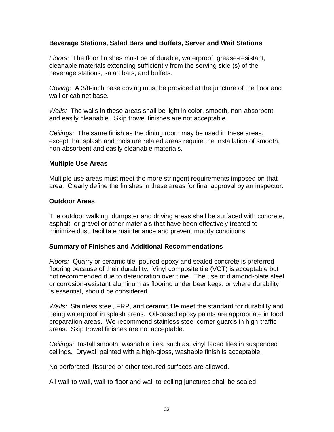## **Beverage Stations, Salad Bars and Buffets, Server and Wait Stations**

*Floors:* The floor finishes must be of durable, waterproof, grease-resistant, cleanable materials extending sufficiently from the serving side (s) of the beverage stations, salad bars, and buffets.

*Coving:* A 3/8-inch base coving must be provided at the juncture of the floor and wall or cabinet base.

*Walls:* The walls in these areas shall be light in color, smooth, non-absorbent, and easily cleanable. Skip trowel finishes are not acceptable.

*Ceilings:* The same finish as the dining room may be used in these areas, except that splash and moisture related areas require the installation of smooth, non-absorbent and easily cleanable materials.

#### **Multiple Use Areas**

Multiple use areas must meet the more stringent requirements imposed on that area. Clearly define the finishes in these areas for final approval by an inspector.

#### **Outdoor Areas**

The outdoor walking, dumpster and driving areas shall be surfaced with concrete, asphalt, or gravel or other materials that have been effectively treated to minimize dust, facilitate maintenance and prevent muddy conditions.

## **Summary of Finishes and Additional Recommendations**

*Floors:* Quarry or ceramic tile, poured epoxy and sealed concrete is preferred flooring because of their durability. Vinyl composite tile (VCT) is acceptable but not recommended due to deterioration over time. The use of diamond-plate steel or corrosion-resistant aluminum as flooring under beer kegs, or where durability is essential, should be considered.

*Walls:* Stainless steel, FRP, and ceramic tile meet the standard for durability and being waterproof in splash areas. Oil-based epoxy paints are appropriate in food preparation areas. We recommend stainless steel corner guards in high-traffic areas. Skip trowel finishes are not acceptable.

*Ceilings:* Install smooth, washable tiles, such as, vinyl faced tiles in suspended ceilings. Drywall painted with a high-gloss, washable finish is acceptable.

No perforated, fissured or other textured surfaces are allowed.

All wall-to-wall, wall-to-floor and wall-to-ceiling junctures shall be sealed.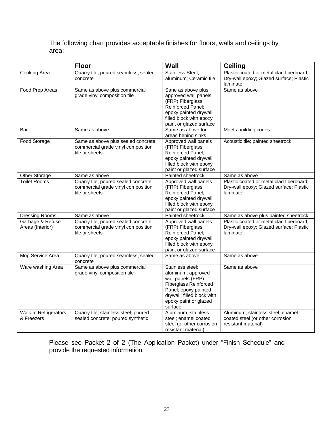The following chart provides acceptable finishes for floors, walls and ceilings by area:

|                                            | <b>Floor</b>                                                                                 | <b>Wall</b>                                                                                                                                                                           | <b>Ceiling</b>                                                                                  |
|--------------------------------------------|----------------------------------------------------------------------------------------------|---------------------------------------------------------------------------------------------------------------------------------------------------------------------------------------|-------------------------------------------------------------------------------------------------|
| Cooking Area                               | Quarry tile, poured seamless, sealed<br>concrete                                             | Stainless Steel;<br>aluminum; Ceramic tile                                                                                                                                            | Plastic coated or metal clad fiberboard;<br>Dry-wall epoxy; Glazed surface; Plastic<br>laminate |
| Food Prep Areas                            | Same as above plus commercial<br>grade vinyl composition tile                                | Sane as above plus<br>approved wall panels<br>(FRP) Fiberglass<br>Reinforced Panel;<br>epoxy painted drywall;<br>filled block with epoxy<br>paint or glazed surface                   | Same as above                                                                                   |
| Bar                                        | Same as above                                                                                | Same as above for<br>areas behind sinks                                                                                                                                               | Meets building codes                                                                            |
| Food Storage                               | Same as above plus sealed concrete,<br>commercial grade vinyl composition<br>tile or sheets  | Approved wall panels<br>(FRP) Fiberglass<br>Reinforced Panel;<br>epoxy painted drywall;<br>filled block with epoxy<br>paint or glazed surface                                         | Acoustic tile; painted sheetrock                                                                |
| Other Storage                              | Same as above                                                                                | Painted sheetrock                                                                                                                                                                     | Same as above                                                                                   |
| Toilet Rooms                               | Quarry tile; poured sealed concrete;<br>commercial grade vinyl composition<br>tile or sheets | Approved wall panels<br>(FRP) Fiberglass<br>Reinforced Panel;<br>epoxy painted drywall;<br>filled block with epoxy<br>paint or glazed surface                                         | Plastic coated or metal clad fiberboard;<br>Dry-wall epoxy; Glazed surface; Plastic<br>laminate |
| Dressing Rooms                             | Same as above                                                                                | Painted sheetrock                                                                                                                                                                     | Same as above plus painted sheetrock                                                            |
| Garbage & Refuse<br>Areas (Interior)       | Quarry tile; poured sealed concrete;<br>commercial grade vinyl composition<br>tile or sheets | Approved wall panels<br>(FRP) Fiberglass<br>Reinforced Panel;<br>epoxy painted drywall;<br>filled block with epoxy<br>paint or glazed surface                                         | Plastic coated or metal clad fiberboard;<br>Dry-wall epoxy; Glazed surface; Plastic<br>laminate |
| Mop Service Area                           | Quarry tile, poured seamless, sealed<br>concrete                                             | Same as above                                                                                                                                                                         | Same as above                                                                                   |
| Ware washing Area                          | Same as above plus commercial<br>grade vinyl composition tile                                | Stainless steel;<br>aluminum; approved<br>wall panels (FRP)<br><b>Fiberglass Reinforced</b><br>Panel; epoxy painted<br>drywall; filled block with<br>epoxy paint or glazed<br>surface | Same as above                                                                                   |
| <b>Walk-in Refrigerators</b><br>& Freezers | Quarry tile; stainless steel; poured<br>sealed concrete; poured synthetic                    | Aluminum; stainless<br>steel; enamel coated<br>steel (or other corrosion<br>resistant material)                                                                                       | Aluminum; stainless steel; enamel<br>coated steel (or other corrosion<br>resistant material)    |

Please see Packet 2 of 2 (The Application Packet) under "Finish Schedule" and provide the requested information.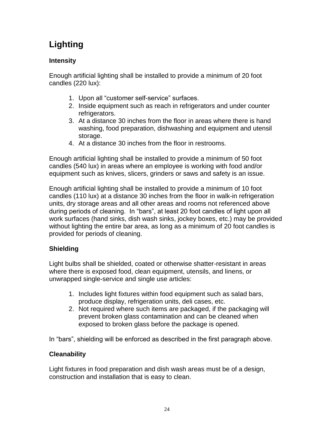# **Lighting**

# **Intensity**

Enough artificial lighting shall be installed to provide a minimum of 20 foot candles (220 lux):

- 1. Upon all "customer self-service" surfaces.
- 2. Inside equipment such as reach in refrigerators and under counter refrigerators.
- 3. At a distance 30 inches from the floor in areas where there is hand washing, food preparation, dishwashing and equipment and utensil storage.
- 4. At a distance 30 inches from the floor in restrooms.

Enough artificial lighting shall be installed to provide a minimum of 50 foot candles (540 lux) in areas where an employee is working with food and/or equipment such as knives, slicers, grinders or saws and safety is an issue.

Enough artificial lighting shall be installed to provide a minimum of 10 foot candles (110 lux) at a distance 30 inches from the floor in walk-in refrigeration units, dry storage areas and all other areas and rooms not referenced above during periods of cleaning. In "bars", at least 20 foot candles of light upon all work surfaces (hand sinks, dish wash sinks, jockey boxes, etc.) may be provided without lighting the entire bar area, as long as a minimum of 20 foot candles is provided for periods of cleaning.

# **Shielding**

Light bulbs shall be shielded, coated or otherwise shatter-resistant in areas where there is exposed food, clean equipment, utensils, and linens, or unwrapped single-service and single use articles:

- 1. Includes light fixtures within food equipment such as salad bars, produce display, refrigeration units, deli cases, etc.
- 2. Not required where such items are packaged, if the packaging will prevent broken glass contamination and can be cleaned when exposed to broken glass before the package is opened.

In "bars", shielding will be enforced as described in the first paragraph above.

# **Cleanability**

Light fixtures in food preparation and dish wash areas must be of a design, construction and installation that is easy to clean.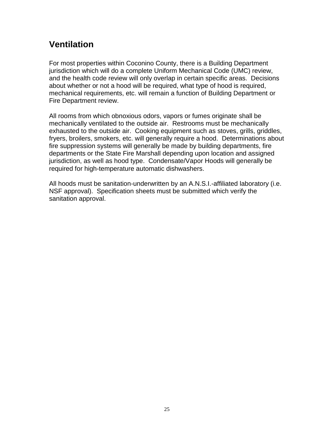# **Ventilation**

For most properties within Coconino County, there is a Building Department jurisdiction which will do a complete Uniform Mechanical Code (UMC) review, and the health code review will only overlap in certain specific areas. Decisions about whether or not a hood will be required, what type of hood is required, mechanical requirements, etc. will remain a function of Building Department or Fire Department review.

All rooms from which obnoxious odors, vapors or fumes originate shall be mechanically ventilated to the outside air. Restrooms must be mechanically exhausted to the outside air. Cooking equipment such as stoves, grills, griddles, fryers, broilers, smokers, etc. will generally require a hood. Determinations about fire suppression systems will generally be made by building departments, fire departments or the State Fire Marshall depending upon location and assigned jurisdiction, as well as hood type. Condensate/Vapor Hoods will generally be required for high-temperature automatic dishwashers.

All hoods must be sanitation-underwritten by an A.N.S.I.-affiliated laboratory (i.e. NSF approval). Specification sheets must be submitted which verify the sanitation approval.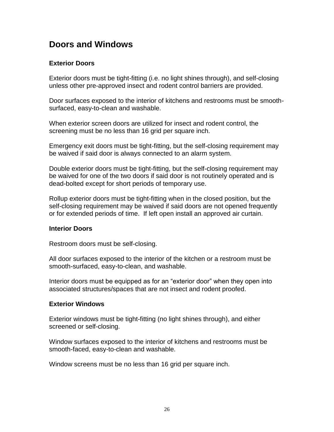# **Doors and Windows**

## **Exterior Doors**

Exterior doors must be tight-fitting (i.e. no light shines through), and self-closing unless other pre-approved insect and rodent control barriers are provided.

Door surfaces exposed to the interior of kitchens and restrooms must be smoothsurfaced, easy-to-clean and washable.

When exterior screen doors are utilized for insect and rodent control, the screening must be no less than 16 grid per square inch.

Emergency exit doors must be tight-fitting, but the self-closing requirement may be waived if said door is always connected to an alarm system.

Double exterior doors must be tight-fitting, but the self-closing requirement may be waived for one of the two doors if said door is not routinely operated and is dead-bolted except for short periods of temporary use.

Rollup exterior doors must be tight-fitting when in the closed position, but the self-closing requirement may be waived if said doors are not opened frequently or for extended periods of time. If left open install an approved air curtain.

## **Interior Doors**

Restroom doors must be self-closing.

All door surfaces exposed to the interior of the kitchen or a restroom must be smooth-surfaced, easy-to-clean, and washable.

Interior doors must be equipped as for an "exterior door" when they open into associated structures/spaces that are not insect and rodent proofed.

## **Exterior Windows**

Exterior windows must be tight-fitting (no light shines through), and either screened or self-closing.

Window surfaces exposed to the interior of kitchens and restrooms must be smooth-faced, easy-to-clean and washable.

Window screens must be no less than 16 grid per square inch.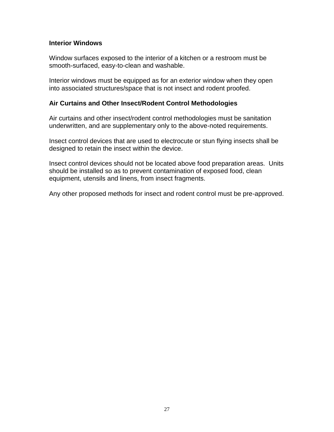#### **Interior Windows**

Window surfaces exposed to the interior of a kitchen or a restroom must be smooth-surfaced, easy-to-clean and washable.

Interior windows must be equipped as for an exterior window when they open into associated structures/space that is not insect and rodent proofed.

#### **Air Curtains and Other Insect/Rodent Control Methodologies**

Air curtains and other insect/rodent control methodologies must be sanitation underwritten, and are supplementary only to the above-noted requirements.

Insect control devices that are used to electrocute or stun flying insects shall be designed to retain the insect within the device.

Insect control devices should not be located above food preparation areas. Units should be installed so as to prevent contamination of exposed food, clean equipment, utensils and linens, from insect fragments.

Any other proposed methods for insect and rodent control must be pre-approved.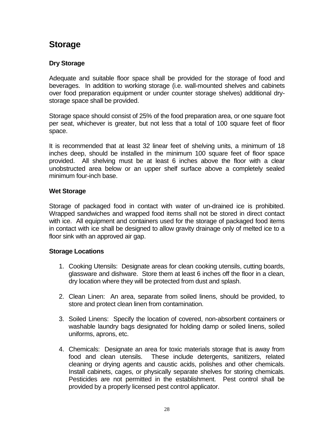# **Storage**

# **Dry Storage**

Adequate and suitable floor space shall be provided for the storage of food and beverages. In addition to working storage (i.e. wall-mounted shelves and cabinets over food preparation equipment or under counter storage shelves) additional drystorage space shall be provided.

Storage space should consist of 25% of the food preparation area, or one square foot per seat, whichever is greater, but not less that a total of 100 square feet of floor space.

It is recommended that at least 32 linear feet of shelving units, a minimum of 18 inches deep, should be installed in the minimum 100 square feet of floor space provided. All shelving must be at least 6 inches above the floor with a clear unobstructed area below or an upper shelf surface above a completely sealed minimum four-inch base.

# **Wet Storage**

Storage of packaged food in contact with water of un-drained ice is prohibited. Wrapped sandwiches and wrapped food items shall not be stored in direct contact with ice. All equipment and containers used for the storage of packaged food items in contact with ice shall be designed to allow gravity drainage only of melted ice to a floor sink with an approved air gap.

# **Storage Locations**

- 1. Cooking Utensils: Designate areas for clean cooking utensils, cutting boards, glassware and dishware. Store them at least 6 inches off the floor in a clean, dry location where they will be protected from dust and splash.
- 2. Clean Linen: An area, separate from soiled linens, should be provided, to store and protect clean linen from contamination.
- 3. Soiled Linens: Specify the location of covered, non-absorbent containers or washable laundry bags designated for holding damp or soiled linens, soiled uniforms, aprons, etc.
- 4. Chemicals: Designate an area for toxic materials storage that is away from food and clean utensils. These include detergents, sanitizers, related cleaning or drying agents and caustic acids, polishes and other chemicals. Install cabinets, cages, or physically separate shelves for storing chemicals. Pesticides are not permitted in the establishment. Pest control shall be provided by a properly licensed pest control applicator.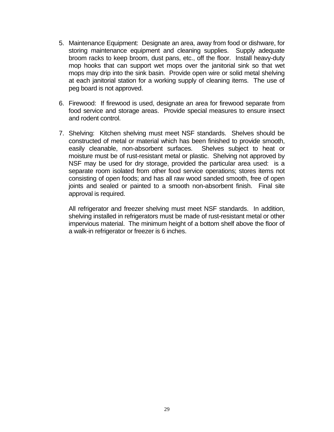- 5. Maintenance Equipment: Designate an area, away from food or dishware, for storing maintenance equipment and cleaning supplies. Supply adequate broom racks to keep broom, dust pans, etc., off the floor. Install heavy-duty mop hooks that can support wet mops over the janitorial sink so that wet mops may drip into the sink basin. Provide open wire or solid metal shelving at each janitorial station for a working supply of cleaning items. The use of peg board is not approved.
- 6. Firewood: If firewood is used, designate an area for firewood separate from food service and storage areas. Provide special measures to ensure insect and rodent control.
- 7. Shelving: Kitchen shelving must meet NSF standards. Shelves should be constructed of metal or material which has been finished to provide smooth, easily cleanable, non-absorbent surfaces. Shelves subject to heat or moisture must be of rust-resistant metal or plastic. Shelving not approved by NSF may be used for dry storage, provided the particular area used: is a separate room isolated from other food service operations; stores items not consisting of open foods; and has all raw wood sanded smooth, free of open joints and sealed or painted to a smooth non-absorbent finish. Final site approval is required.

All refrigerator and freezer shelving must meet NSF standards. In addition, shelving installed in refrigerators must be made of rust-resistant metal or other impervious material. The minimum height of a bottom shelf above the floor of a walk-in refrigerator or freezer is 6 inches.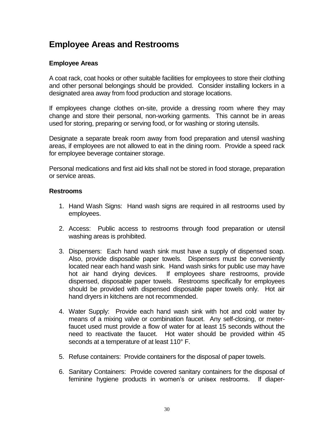# **Employee Areas and Restrooms**

## **Employee Areas**

A coat rack, coat hooks or other suitable facilities for employees to store their clothing and other personal belongings should be provided. Consider installing lockers in a designated area away from food production and storage locations.

If employees change clothes on-site, provide a dressing room where they may change and store their personal, non-working garments. This cannot be in areas used for storing, preparing or serving food, or for washing or storing utensils.

Designate a separate break room away from food preparation and utensil washing areas, if employees are not allowed to eat in the dining room. Provide a speed rack for employee beverage container storage.

Personal medications and first aid kits shall not be stored in food storage, preparation or service areas.

## **Restrooms**

- 1. Hand Wash Signs: Hand wash signs are required in all restrooms used by employees.
- 2. Access: Public access to restrooms through food preparation or utensil washing areas is prohibited.
- 3. Dispensers: Each hand wash sink must have a supply of dispensed soap. Also, provide disposable paper towels. Dispensers must be conveniently located near each hand wash sink. Hand wash sinks for public use may have hot air hand drying devices. If employees share restrooms, provide dispensed, disposable paper towels. Restrooms specifically for employees should be provided with dispensed disposable paper towels only. Hot air hand dryers in kitchens are not recommended.
- 4. Water Supply: Provide each hand wash sink with hot and cold water by means of a mixing valve or combination faucet. Any self-closing, or meterfaucet used must provide a flow of water for at least 15 seconds without the need to reactivate the faucet. Hot water should be provided within 45 seconds at a temperature of at least 110° F.
- 5. Refuse containers: Provide containers for the disposal of paper towels.
- 6. Sanitary Containers: Provide covered sanitary containers for the disposal of feminine hygiene products in women's or unisex restrooms. If diaper-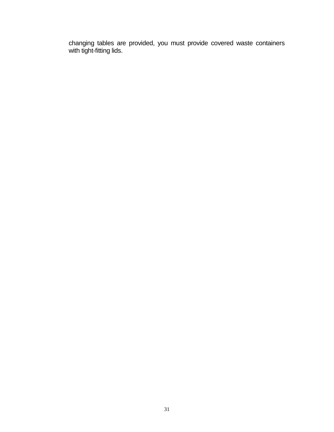changing tables are provided, you must provide covered waste containers with tight-fitting lids.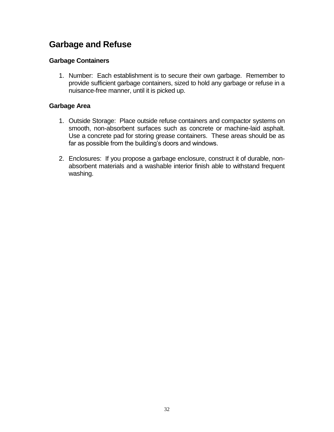# **Garbage and Refuse**

# **Garbage Containers**

1. Number: Each establishment is to secure their own garbage. Remember to provide sufficient garbage containers, sized to hold any garbage or refuse in a nuisance-free manner, until it is picked up.

## **Garbage Area**

- 1. Outside Storage: Place outside refuse containers and compactor systems on smooth, non-absorbent surfaces such as concrete or machine-laid asphalt. Use a concrete pad for storing grease containers. These areas should be as far as possible from the building's doors and windows.
- 2. Enclosures: If you propose a garbage enclosure, construct it of durable, nonabsorbent materials and a washable interior finish able to withstand frequent washing.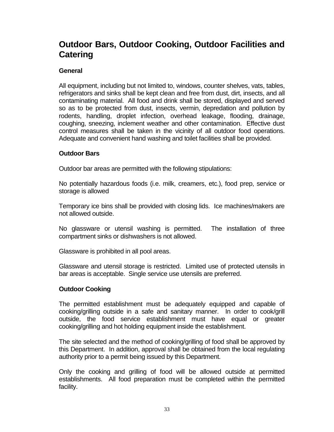# **Outdoor Bars, Outdoor Cooking, Outdoor Facilities and Catering**

## **General**

All equipment, including but not limited to, windows, counter shelves, vats, tables, refrigerators and sinks shall be kept clean and free from dust, dirt, insects, and all contaminating material. All food and drink shall be stored, displayed and served so as to be protected from dust, insects, vermin, depredation and pollution by rodents, handling, droplet infection, overhead leakage, flooding, drainage, coughing, sneezing, inclement weather and other contamination. Effective dust control measures shall be taken in the vicinity of all outdoor food operations. Adequate and convenient hand washing and toilet facilities shall be provided.

## **Outdoor Bars**

Outdoor bar areas are permitted with the following stipulations:

No potentially hazardous foods (i.e. milk, creamers, etc.), food prep, service or storage is allowed

Temporary ice bins shall be provided with closing lids. Ice machines/makers are not allowed outside.

No glassware or utensil washing is permitted. The installation of three compartment sinks or dishwashers is not allowed.

Glassware is prohibited in all pool areas.

Glassware and utensil storage is restricted. Limited use of protected utensils in bar areas is acceptable. Single service use utensils are preferred.

## **Outdoor Cooking**

The permitted establishment must be adequately equipped and capable of cooking/grilling outside in a safe and sanitary manner. In order to cook/grill outside, the food service establishment must have equal or greater cooking/grilling and hot holding equipment inside the establishment.

The site selected and the method of cooking/grilling of food shall be approved by this Department. In addition, approval shall be obtained from the local regulating authority prior to a permit being issued by this Department.

Only the cooking and grilling of food will be allowed outside at permitted establishments. All food preparation must be completed within the permitted facility.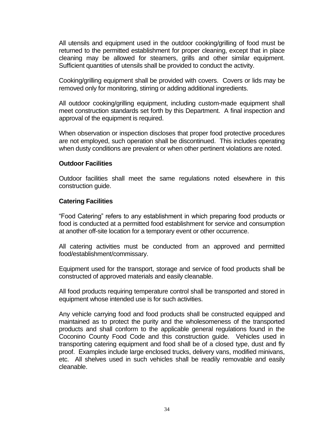All utensils and equipment used in the outdoor cooking/grilling of food must be returned to the permitted establishment for proper cleaning, except that in place cleaning may be allowed for steamers, grills and other similar equipment. Sufficient quantities of utensils shall be provided to conduct the activity.

Cooking/grilling equipment shall be provided with covers. Covers or lids may be removed only for monitoring, stirring or adding additional ingredients.

All outdoor cooking/grilling equipment, including custom-made equipment shall meet construction standards set forth by this Department. A final inspection and approval of the equipment is required.

When observation or inspection discloses that proper food protective procedures are not employed, such operation shall be discontinued. This includes operating when dusty conditions are prevalent or when other pertinent violations are noted.

#### **Outdoor Facilities**

Outdoor facilities shall meet the same regulations noted elsewhere in this construction guide.

#### **Catering Facilities**

"Food Catering" refers to any establishment in which preparing food products or food is conducted at a permitted food establishment for service and consumption at another off-site location for a temporary event or other occurrence.

All catering activities must be conducted from an approved and permitted food/establishment/commissary.

Equipment used for the transport, storage and service of food products shall be constructed of approved materials and easily cleanable.

All food products requiring temperature control shall be transported and stored in equipment whose intended use is for such activities.

Any vehicle carrying food and food products shall be constructed equipped and maintained as to protect the purity and the wholesomeness of the transported products and shall conform to the applicable general regulations found in the Coconino County Food Code and this construction guide. Vehicles used in transporting catering equipment and food shall be of a closed type, dust and fly proof. Examples include large enclosed trucks, delivery vans, modified minivans, etc. All shelves used in such vehicles shall be readily removable and easily cleanable.